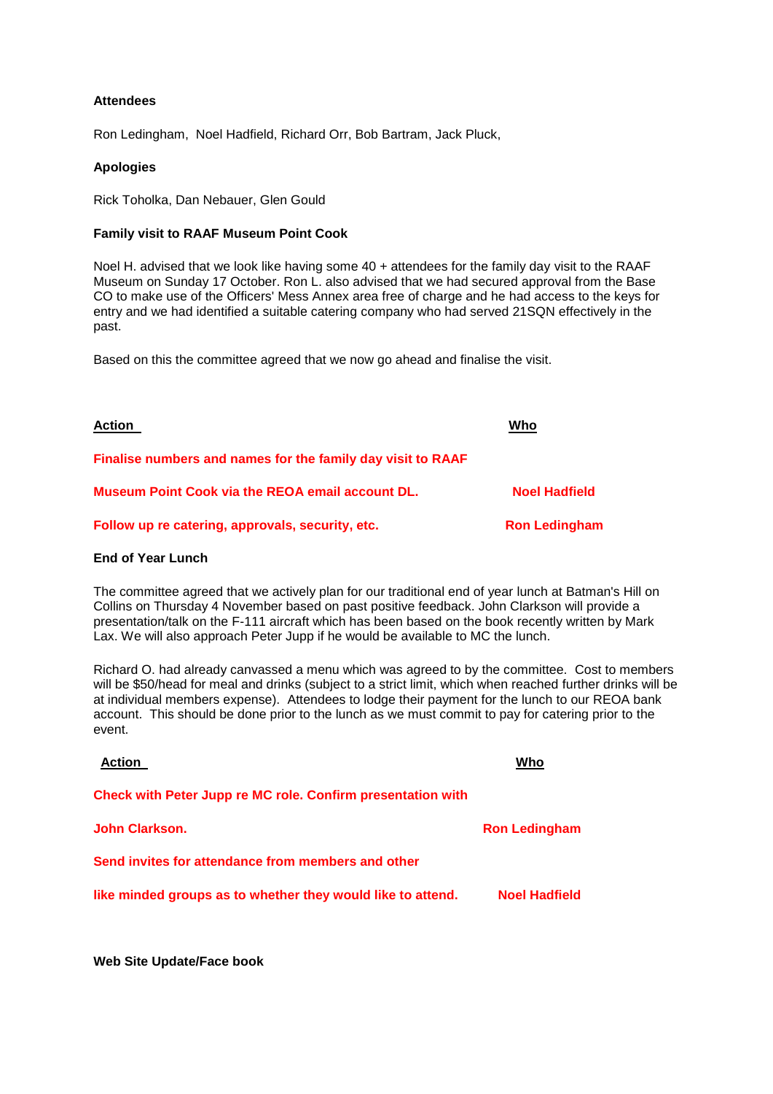# **Attendees**

Ron Ledingham, Noel Hadfield, Richard Orr, Bob Bartram, Jack Pluck,

## **Apologies**

Rick Toholka, Dan Nebauer, Glen Gould

# **Family visit to RAAF Museum Point Cook**

Noel H. advised that we look like having some 40 + attendees for the family day visit to the RAAF Museum on Sunday 17 October. Ron L. also advised that we had secured approval from the Base CO to make use of the Officers' Mess Annex area free of charge and he had access to the keys for entry and we had identified a suitable catering company who had served 21SQN effectively in the past.

Based on this the committee agreed that we now go ahead and finalise the visit.

| Action                                                      | Who                  |
|-------------------------------------------------------------|----------------------|
| Finalise numbers and names for the family day visit to RAAF |                      |
| <b>Museum Point Cook via the REOA email account DL.</b>     | <b>Noel Hadfield</b> |
| Follow up re catering, approvals, security, etc.            | <b>Ron Ledingham</b> |

#### **End of Year Lunch**

The committee agreed that we actively plan for our traditional end of year lunch at Batman's Hill on Collins on Thursday 4 November based on past positive feedback. John Clarkson will provide a presentation/talk on the F-111 aircraft which has been based on the book recently written by Mark Lax. We will also approach Peter Jupp if he would be available to MC the lunch.

Richard O. had already canvassed a menu which was agreed to by the committee. Cost to members will be \$50/head for meal and drinks (subject to a strict limit, which when reached further drinks will be at individual members expense). Attendees to lodge their payment for the lunch to our REOA bank account. This should be done prior to the lunch as we must commit to pay for catering prior to the event.

| <b>Action</b>                                               | Who                  |
|-------------------------------------------------------------|----------------------|
| Check with Peter Jupp re MC role. Confirm presentation with |                      |
| John Clarkson.                                              | <b>Ron Ledingham</b> |
| Send invites for attendance from members and other          |                      |
| like minded groups as to whether they would like to attend. | <b>Noel Hadfield</b> |
|                                                             |                      |

**Web Site Update/Face book**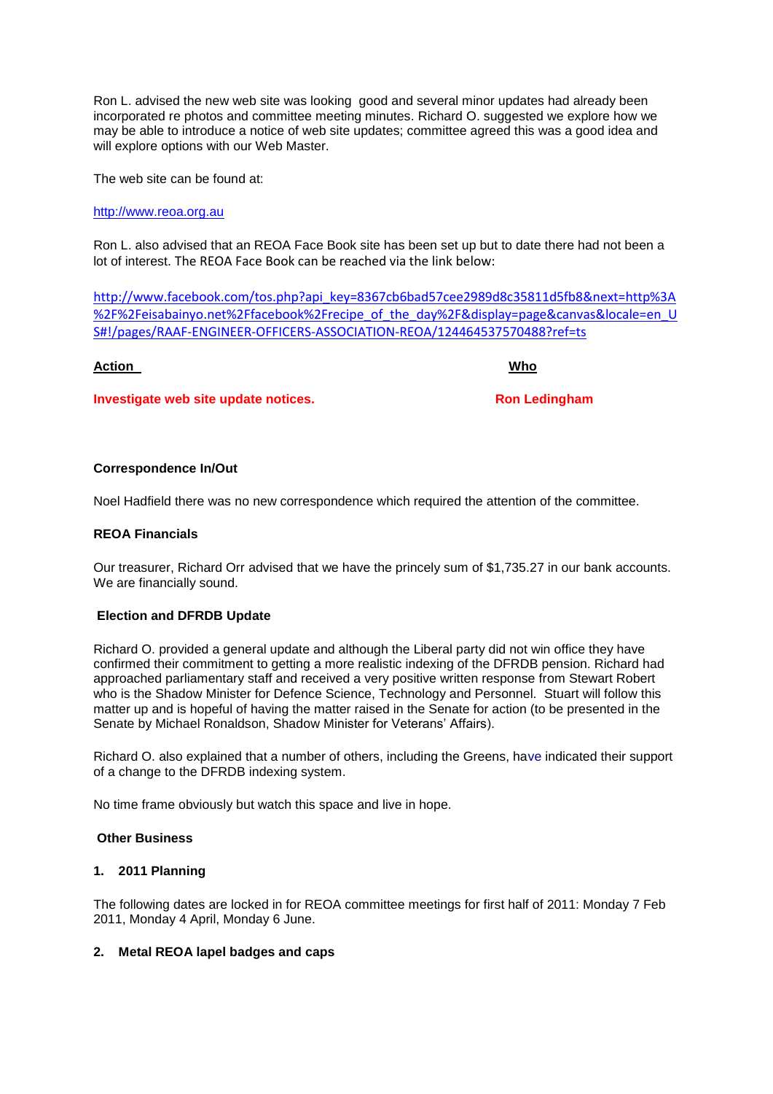Ron L. advised the new web site was looking good and several minor updates had already been incorporated re photos and committee meeting minutes. Richard O. suggested we explore how we may be able to introduce a notice of web site updates; committee agreed this was a good idea and will explore options with our Web Master.

The web site can be found at:

## [http://www.reoa.org.au](http://www.reoa.org.au/)

Ron L. also advised that an REOA Face Book site has been set up but to date there had not been a lot of interest. The REOA Face Book can be reached via the link below:

[http://www.facebook.com/tos.php?api\\_key=8367cb6bad57cee2989d8c35811d5fb8&next=http%3A](http://www.facebook.com/tos.php?api_key=8367cb6bad57cee2989d8c35811d5fb8&next=http%3A%2F%2Feisabainyo.net%2Ffacebook%2Frecipe_of_the_day%2F&display=page&canvas&locale=en_US#!/pages/RAAF-ENGINEER-OFFICERS-ASSOCIATION-REOA/124464537570488?ref=ts) [%2F%2Feisabainyo.net%2Ffacebook%2Frecipe\\_of\\_the\\_day%2F&display=page&canvas&locale=en\\_U](http://www.facebook.com/tos.php?api_key=8367cb6bad57cee2989d8c35811d5fb8&next=http%3A%2F%2Feisabainyo.net%2Ffacebook%2Frecipe_of_the_day%2F&display=page&canvas&locale=en_US#!/pages/RAAF-ENGINEER-OFFICERS-ASSOCIATION-REOA/124464537570488?ref=ts) [S#!/pages/RAAF-ENGINEER-OFFICERS-ASSOCIATION-REOA/124464537570488?ref=ts](http://www.facebook.com/tos.php?api_key=8367cb6bad57cee2989d8c35811d5fb8&next=http%3A%2F%2Feisabainyo.net%2Ffacebook%2Frecipe_of_the_day%2F&display=page&canvas&locale=en_US#!/pages/RAAF-ENGINEER-OFFICERS-ASSOCIATION-REOA/124464537570488?ref=ts)

#### **Action Who**

**Investigate web site update notices.** The state of the Ron Ledingham

# **Correspondence In/Out**

Noel Hadfield there was no new correspondence which required the attention of the committee.

# **REOA Financials**

Our treasurer, Richard Orr advised that we have the princely sum of \$1,735.27 in our bank accounts. We are financially sound.

#### **Election and DFRDB Update**

Richard O. provided a general update and although the Liberal party did not win office they have confirmed their commitment to getting a more realistic indexing of the DFRDB pension. Richard had approached parliamentary staff and received a very positive written response from Stewart Robert who is the Shadow Minister for Defence Science, Technology and Personnel. Stuart will follow this matter up and is hopeful of having the matter raised in the Senate for action (to be presented in the Senate by Michael Ronaldson, Shadow Minister for Veterans' Affairs).

Richard O. also explained that a number of others, including the Greens, have indicated their support of a change to the DFRDB indexing system.

No time frame obviously but watch this space and live in hope.

#### **Other Business**

# **1. 2011 Planning**

The following dates are locked in for REOA committee meetings for first half of 2011: Monday 7 Feb 2011, Monday 4 April, Monday 6 June.

# **2. Metal REOA lapel badges and caps**